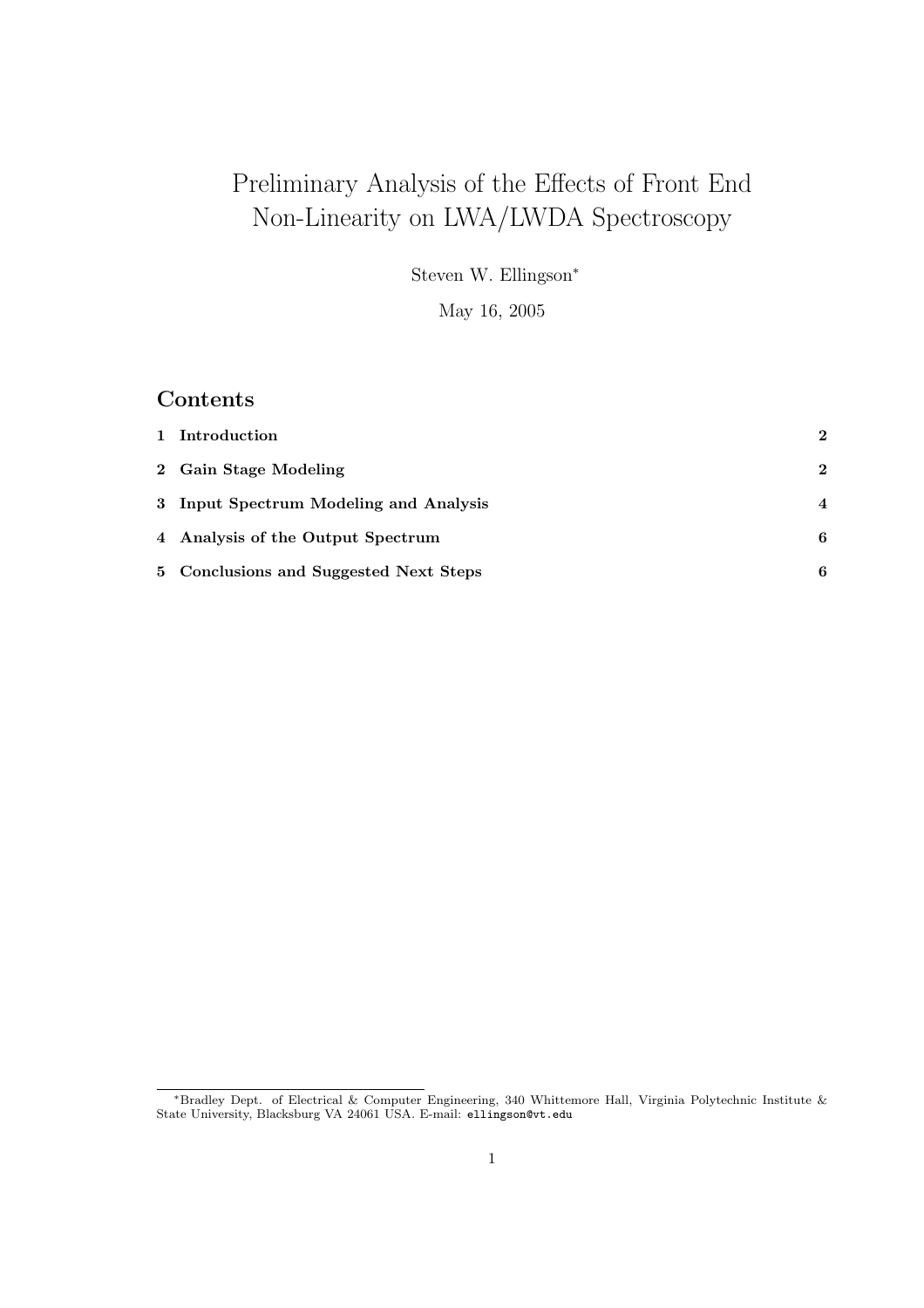# Preliminary Analysis of the Effects of Front End Non-Linearity on LWA/LWDA Spectroscopy

Steven W. Ellingson<sup>∗</sup>

May 16, 2005

# Contents

| 1 Introduction                         | $\mathbf{2}$   |
|----------------------------------------|----------------|
| 2 Gain Stage Modeling                  | $\mathbf{2}$   |
| 3 Input Spectrum Modeling and Analysis | $\overline{4}$ |
| 4 Analysis of the Output Spectrum      | 6              |
| 5 Conclusions and Suggested Next Steps | 6              |

<sup>∗</sup>Bradley Dept. of Electrical & Computer Engineering, 340 Whittemore Hall, Virginia Polytechnic Institute & State University, Blacksburg VA 24061 USA. E-mail: ellingson@vt.edu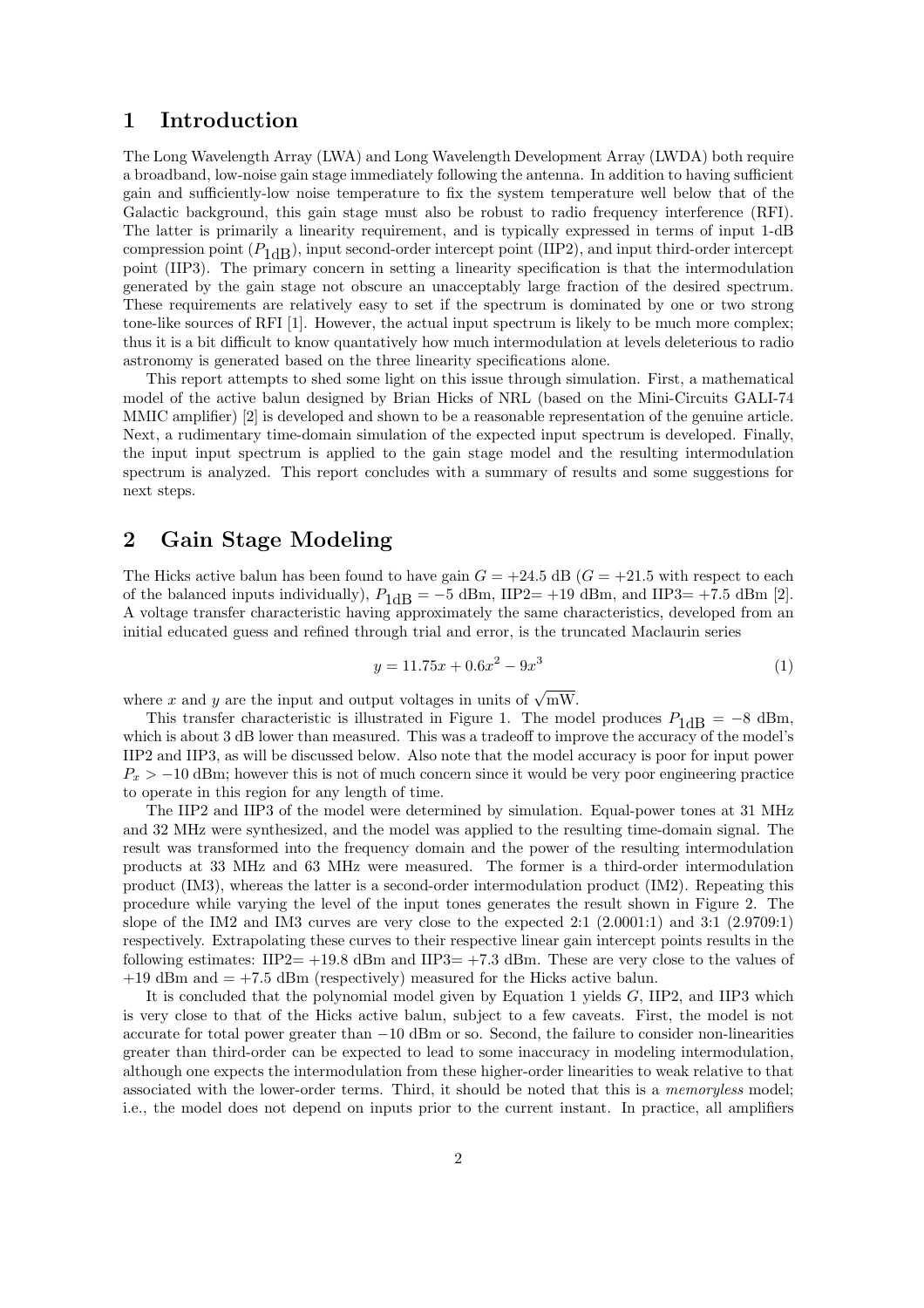### 1 Introduction

The Long Wavelength Array (LWA) and Long Wavelength Development Array (LWDA) both require a broadband, low-noise gain stage immediately following the antenna. In addition to having sufficient gain and sufficiently-low noise temperature to fix the system temperature well below that of the Galactic background, this gain stage must also be robust to radio frequency interference (RFI). The latter is primarily a linearity requirement, and is typically expressed in terms of input 1-dB compression point  $(P_{1dB})$ , input second-order intercept point (IIP2), and input third-order intercept point (IIP3). The primary concern in setting a linearity specification is that the intermodulation generated by the gain stage not obscure an unacceptably large fraction of the desired spectrum. These requirements are relatively easy to set if the spectrum is dominated by one or two strong tone-like sources of RFI [1]. However, the actual input spectrum is likely to be much more complex; thus it is a bit difficult to know quantatively how much intermodulation at levels deleterious to radio astronomy is generated based on the three linearity specifications alone.

This report attempts to shed some light on this issue through simulation. First, a mathematical model of the active balun designed by Brian Hicks of NRL (based on the Mini-Circuits GALI-74 MMIC amplifier) [2] is developed and shown to be a reasonable representation of the genuine article. Next, a rudimentary time-domain simulation of the expected input spectrum is developed. Finally, the input input spectrum is applied to the gain stage model and the resulting intermodulation spectrum is analyzed. This report concludes with a summary of results and some suggestions for next steps.

# 2 Gain Stage Modeling

The Hicks active balun has been found to have gain  $G = +24.5$  dB  $(G = +21.5$  with respect to each of the balanced inputs individually),  $P_{1\text{dB}} = -5$  dBm, IIP2= +19 dBm, and IIP3= +7.5 dBm [2]. A voltage transfer characteristic having approximately the same characteristics, developed from an initial educated guess and refined through trial and error, is the truncated Maclaurin series

$$
y = 11.75x + 0.6x^2 - 9x^3 \tag{1}
$$

where x and y are the input and output voltages in units of  $\sqrt{mW}$ .

This transfer characteristic is illustrated in Figure 1. The model produces  $P_{1dB} = -8$  dBm, which is about 3 dB lower than measured. This was a tradeoff to improve the accuracy of the model's IIP2 and IIP3, as will be discussed below. Also note that the model accuracy is poor for input power  $P_x > -10$  dBm; however this is not of much concern since it would be very poor engineering practice to operate in this region for any length of time.

The IIP2 and IIP3 of the model were determined by simulation. Equal-power tones at 31 MHz and 32 MHz were synthesized, and the model was applied to the resulting time-domain signal. The result was transformed into the frequency domain and the power of the resulting intermodulation products at 33 MHz and 63 MHz were measured. The former is a third-order intermodulation product (IM3), whereas the latter is a second-order intermodulation product (IM2). Repeating this procedure while varying the level of the input tones generates the result shown in Figure 2. The slope of the IM2 and IM3 curves are very close to the expected 2:1 (2.0001:1) and 3:1 (2.9709:1) respectively. Extrapolating these curves to their respective linear gain intercept points results in the following estimates: IIP2=  $+19.8$  dBm and IIP3=  $+7.3$  dBm. These are very close to the values of  $+19$  dBm and  $= +7.5$  dBm (respectively) measured for the Hicks active balun.

It is concluded that the polynomial model given by Equation 1 yields G, IIP2, and IIP3 which is very close to that of the Hicks active balun, subject to a few caveats. First, the model is not accurate for total power greater than −10 dBm or so. Second, the failure to consider non-linearities greater than third-order can be expected to lead to some inaccuracy in modeling intermodulation, although one expects the intermodulation from these higher-order linearities to weak relative to that associated with the lower-order terms. Third, it should be noted that this is a memoryless model; i.e., the model does not depend on inputs prior to the current instant. In practice, all amplifiers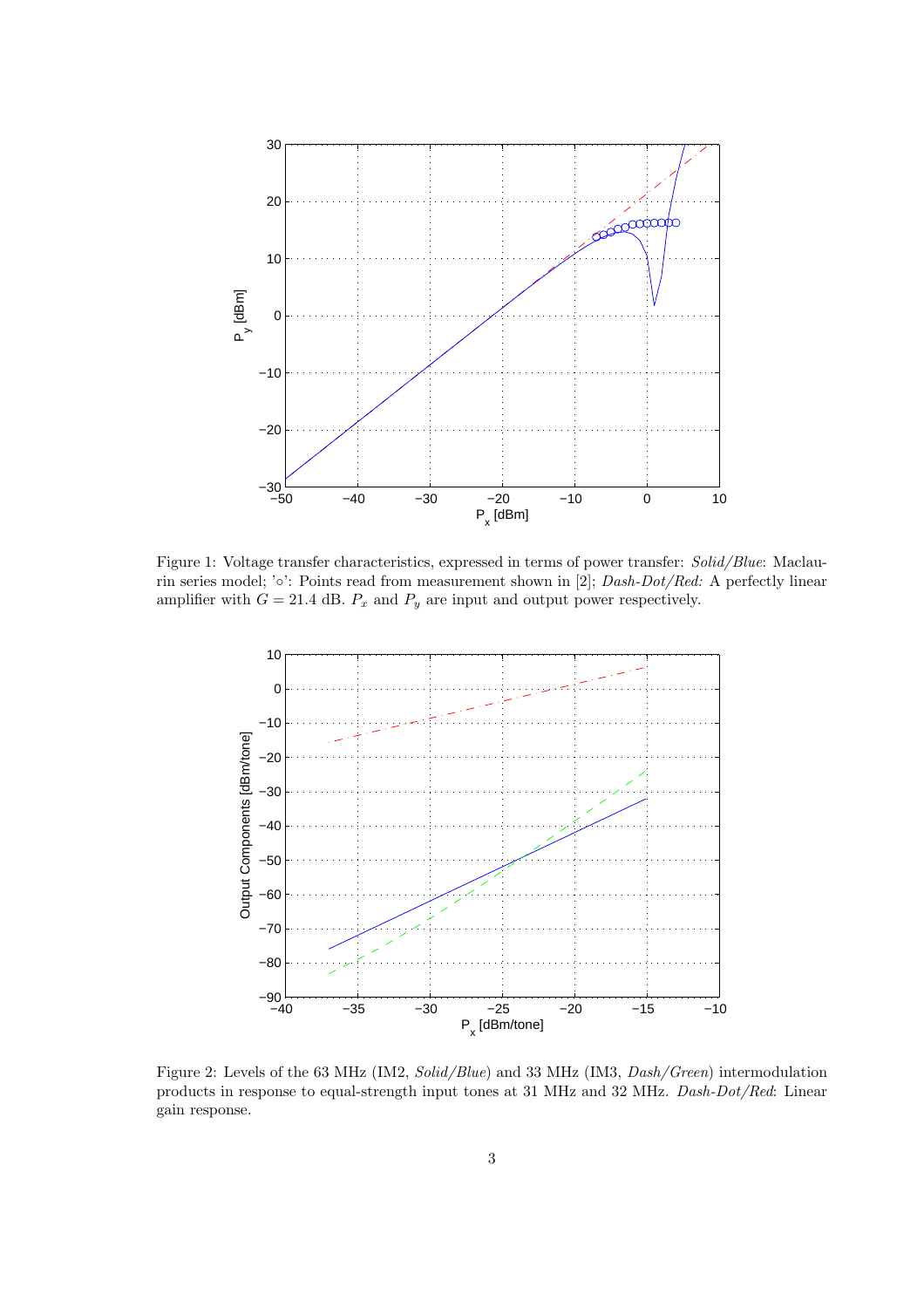

Figure 1: Voltage transfer characteristics, expressed in terms of power transfer: Solid/Blue: Maclaurin series model; '◦': Points read from measurement shown in [2]; Dash-Dot/Red: A perfectly linear amplifier with  $G = 21.4$  dB.  $P_x$  and  $P_y$  are input and output power respectively.



Figure 2: Levels of the 63 MHz (IM2, Solid/Blue) and 33 MHz (IM3, Dash/Green) intermodulation products in response to equal-strength input tones at 31 MHz and 32 MHz. Dash-Dot/Red: Linear gain response.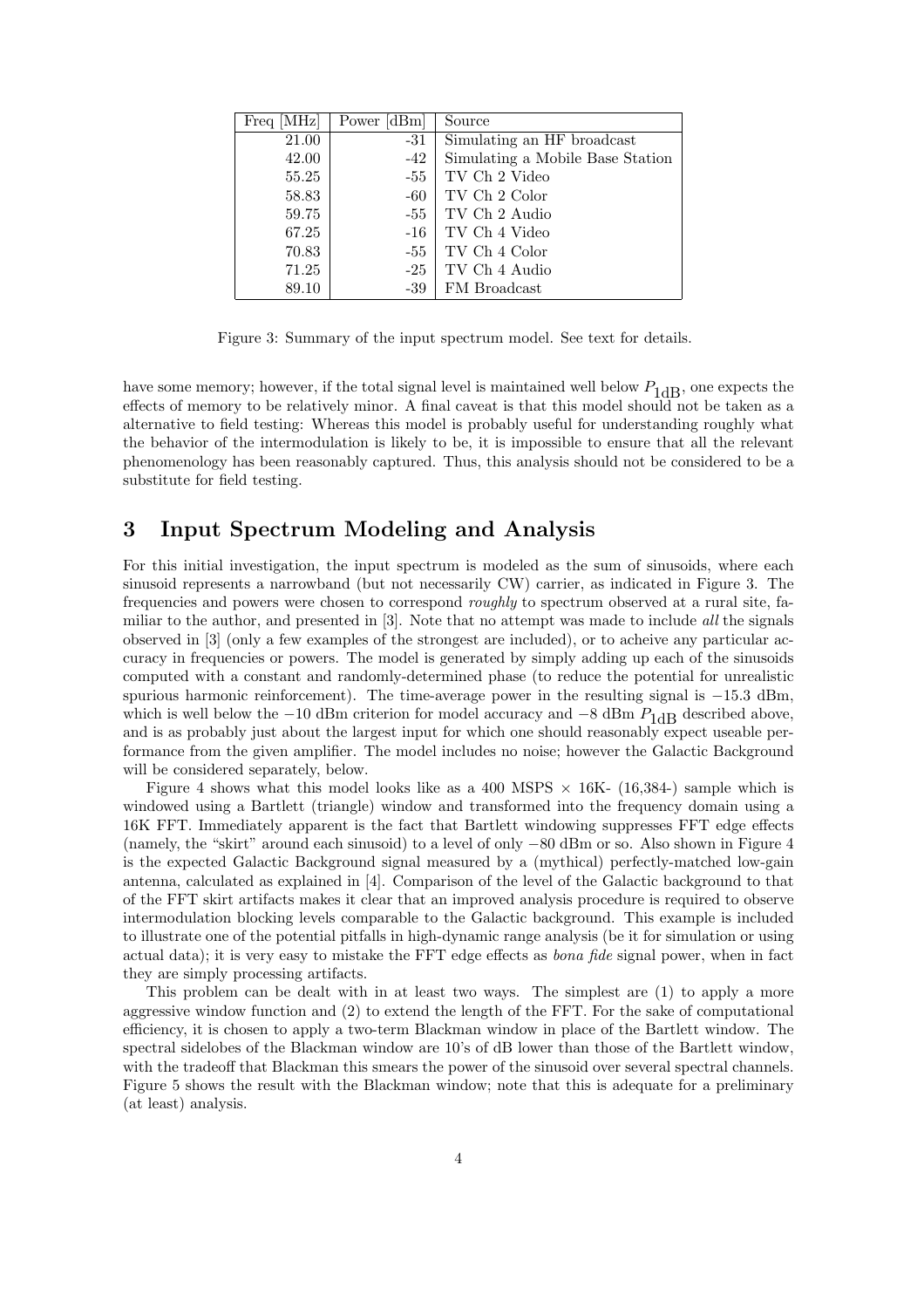| Freq [MHz] | Power [dBm] | Source                           |
|------------|-------------|----------------------------------|
| 21.00      | $-31$       | Simulating an HF broadcast       |
| 42.00      | $-42$       | Simulating a Mobile Base Station |
| 55.25      | $-55$       | TV Ch 2 Video                    |
| 58.83      | $-60$       | TV Ch 2 Color                    |
| 59.75      | -55         | TV Ch 2 Audio                    |
| 67.25      | $-16$       | TV Ch 4 Video                    |
| 70.83      | $-55$       | TV Ch 4 Color                    |
| 71.25      | $-25$       | TV Ch 4 Audio                    |
| 89.10      | $-39$       | FM Broadcast                     |

Figure 3: Summary of the input spectrum model. See text for details.

have some memory; however, if the total signal level is maintained well below  $P_{1dB}$ , one expects the effects of memory to be relatively minor. A final caveat is that this model should not be taken as a alternative to field testing: Whereas this model is probably useful for understanding roughly what the behavior of the intermodulation is likely to be, it is impossible to ensure that all the relevant phenomenology has been reasonably captured. Thus, this analysis should not be considered to be a substitute for field testing.

## 3 Input Spectrum Modeling and Analysis

For this initial investigation, the input spectrum is modeled as the sum of sinusoids, where each sinusoid represents a narrowband (but not necessarily CW) carrier, as indicated in Figure 3. The frequencies and powers were chosen to correspond *roughly* to spectrum observed at a rural site, familiar to the author, and presented in [3]. Note that no attempt was made to include all the signals observed in [3] (only a few examples of the strongest are included), or to acheive any particular accuracy in frequencies or powers. The model is generated by simply adding up each of the sinusoids computed with a constant and randomly-determined phase (to reduce the potential for unrealistic spurious harmonic reinforcement). The time-average power in the resulting signal is  $-15.3$  dBm, which is well below the  $-10$  dBm criterion for model accuracy and  $-8$  dBm  $P_{1\text{dB}}$  described above, and is as probably just about the largest input for which one should reasonably expect useable performance from the given amplifier. The model includes no noise; however the Galactic Background will be considered separately, below.

Figure 4 shows what this model looks like as a 400 MSPS  $\times$  16K- (16,384-) sample which is windowed using a Bartlett (triangle) window and transformed into the frequency domain using a 16K FFT. Immediately apparent is the fact that Bartlett windowing suppresses FFT edge effects (namely, the "skirt" around each sinusoid) to a level of only −80 dBm or so. Also shown in Figure 4 is the expected Galactic Background signal measured by a (mythical) perfectly-matched low-gain antenna, calculated as explained in [4]. Comparison of the level of the Galactic background to that of the FFT skirt artifacts makes it clear that an improved analysis procedure is required to observe intermodulation blocking levels comparable to the Galactic background. This example is included to illustrate one of the potential pitfalls in high-dynamic range analysis (be it for simulation or using actual data); it is very easy to mistake the FFT edge effects as bona fide signal power, when in fact they are simply processing artifacts.

This problem can be dealt with in at least two ways. The simplest are (1) to apply a more aggressive window function and (2) to extend the length of the FFT. For the sake of computational efficiency, it is chosen to apply a two-term Blackman window in place of the Bartlett window. The spectral sidelobes of the Blackman window are 10's of dB lower than those of the Bartlett window, with the tradeoff that Blackman this smears the power of the sinusoid over several spectral channels. Figure 5 shows the result with the Blackman window; note that this is adequate for a preliminary (at least) analysis.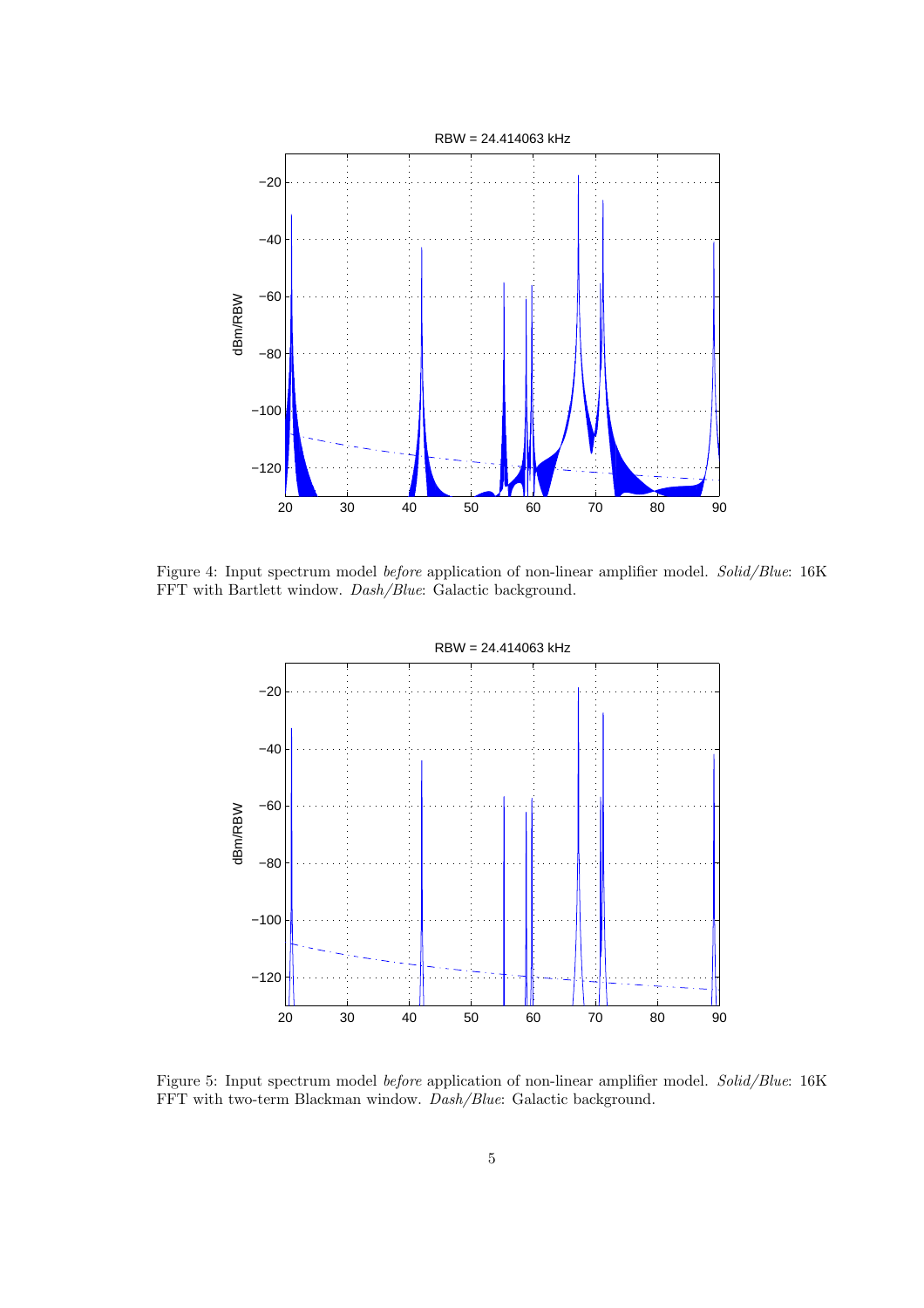

Figure 4: Input spectrum model before application of non-linear amplifier model. Solid/Blue: 16K FFT with Bartlett window. Dash/Blue: Galactic background.



Figure 5: Input spectrum model before application of non-linear amplifier model. Solid/Blue: 16K FFT with two-term Blackman window. Dash/Blue: Galactic background.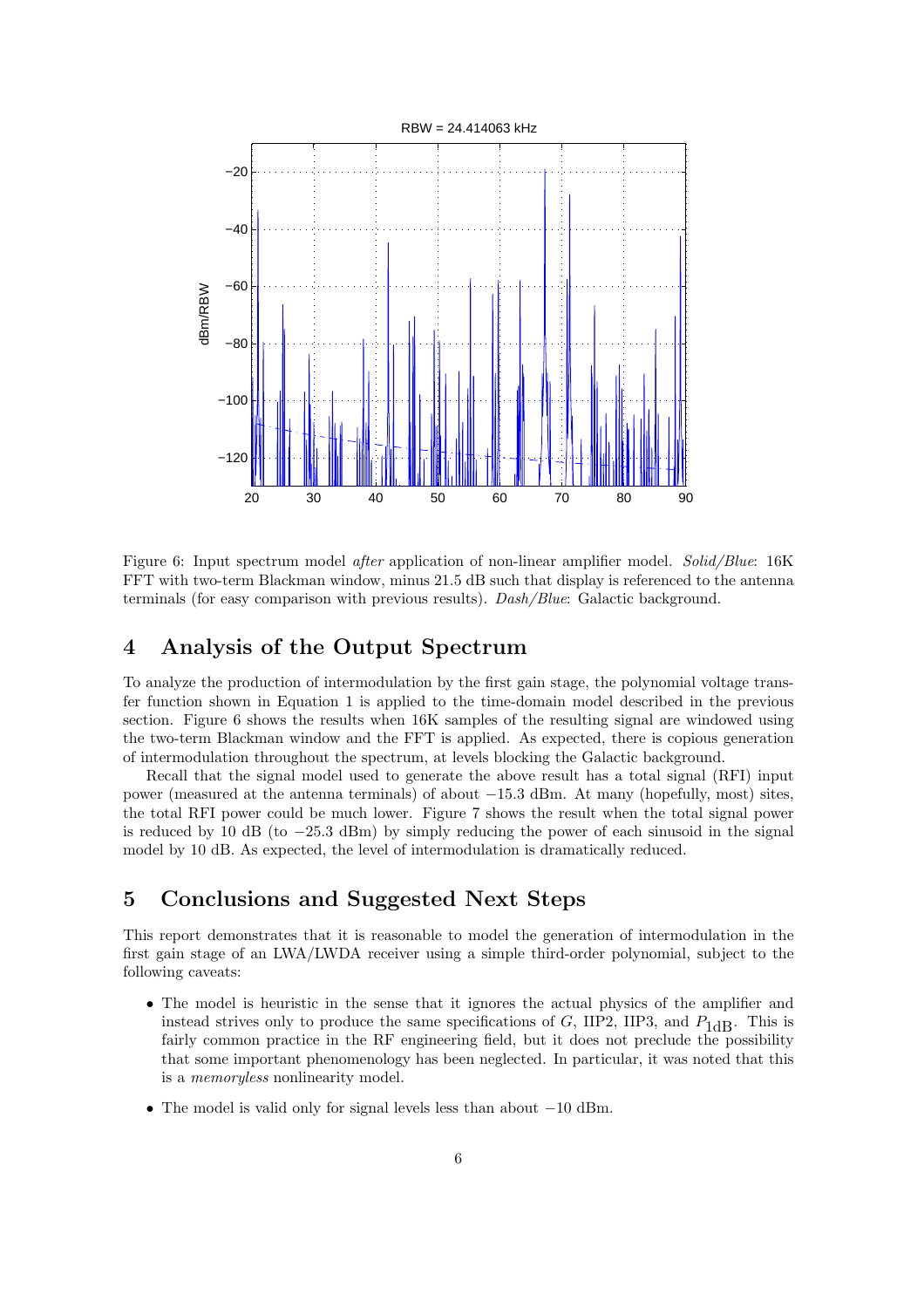

Figure 6: Input spectrum model *after* application of non-linear amplifier model. *Solid/Blue*: 16K FFT with two-term Blackman window, minus 21.5 dB such that display is referenced to the antenna terminals (for easy comparison with previous results). Dash/Blue: Galactic background.

#### 4 Analysis of the Output Spectrum

To analyze the production of intermodulation by the first gain stage, the polynomial voltage transfer function shown in Equation 1 is applied to the time-domain model described in the previous section. Figure 6 shows the results when 16K samples of the resulting signal are windowed using the two-term Blackman window and the FFT is applied. As expected, there is copious generation of intermodulation throughout the spectrum, at levels blocking the Galactic background.

Recall that the signal model used to generate the above result has a total signal (RFI) input power (measured at the antenna terminals) of about −15.3 dBm. At many (hopefully, most) sites, the total RFI power could be much lower. Figure 7 shows the result when the total signal power is reduced by 10 dB (to  $-25.3$  dBm) by simply reducing the power of each sinusoid in the signal model by 10 dB. As expected, the level of intermodulation is dramatically reduced.

## 5 Conclusions and Suggested Next Steps

This report demonstrates that it is reasonable to model the generation of intermodulation in the first gain stage of an LWA/LWDA receiver using a simple third-order polynomial, subject to the following caveats:

- The model is heuristic in the sense that it ignores the actual physics of the amplifier and instead strives only to produce the same specifications of G, IIP2, IIP3, and  $P_{1dB}$ . This is fairly common practice in the RF engineering field, but it does not preclude the possibility that some important phenomenology has been neglected. In particular, it was noted that this is a memoryless nonlinearity model.
- The model is valid only for signal levels less than about −10 dBm.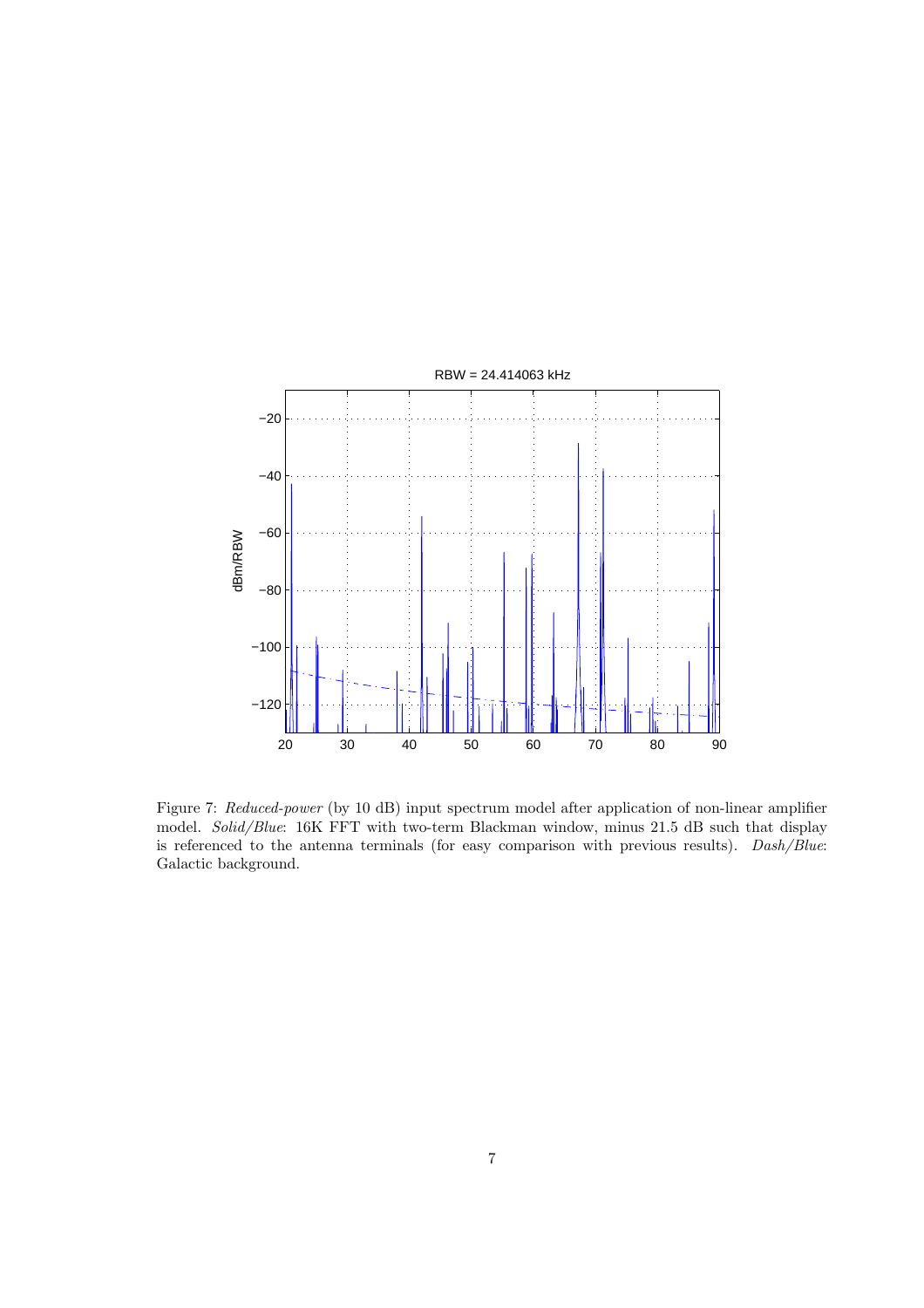

Figure 7: Reduced-power (by 10 dB) input spectrum model after application of non-linear amplifier model. Solid/Blue: 16K FFT with two-term Blackman window, minus 21.5 dB such that display is referenced to the antenna terminals (for easy comparison with previous results). Dash/Blue: Galactic background.